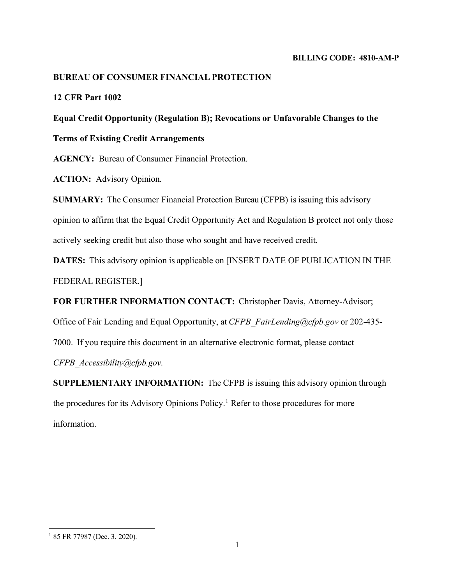#### **BILLING CODE: 4810-AM-P**

# **BUREAU OF CONSUMER FINANCIAL PROTECTION**

# **12 CFR Part 1002**

# **Equal Credit Opportunity (Regulation B); Revocations or Unfavorable Changes to the**

**Terms of Existing Credit Arrangements**

**AGENCY:** Bureau of Consumer Financial Protection.

**ACTION:** Advisory Opinion.

**SUMMARY:** The Consumer Financial Protection Bureau (CFPB) is issuing this advisory opinion to affirm that the Equal Credit Opportunity Act and Regulation B protect not only those actively seeking credit but also those who sought and have received credit.

**DATES:** This advisory opinion is applicable on [INSERT DATE OF PUBLICATION IN THE FEDERAL REGISTER.]

**FOR FURTHER INFORMATION CONTACT:** Christopher Davis, Attorney-Advisor;

Office of Fair Lending and Equal Opportunity, at *[CFPB\\_FairLending@cfpb.gov](mailto:CFPB_FairLending@cfpb.gov)* or 202-435-

7000. If you require this document in an alternative electronic format, please contact

*[CFPB\\_Accessibility@cfpb.gov](mailto:CFPB_Accessibility@cfpb.gov)*.

**SUPPLEMENTARY INFORMATION:** The CFPB is issuing this advisory opinion through the procedures for its Advisory Opinions Policy.<sup>[1](#page-0-0)</sup> Refer to those procedures for more information.

<span id="page-0-0"></span><sup>&</sup>lt;sup>1</sup> 85 FR 77987 (Dec. 3, 2020).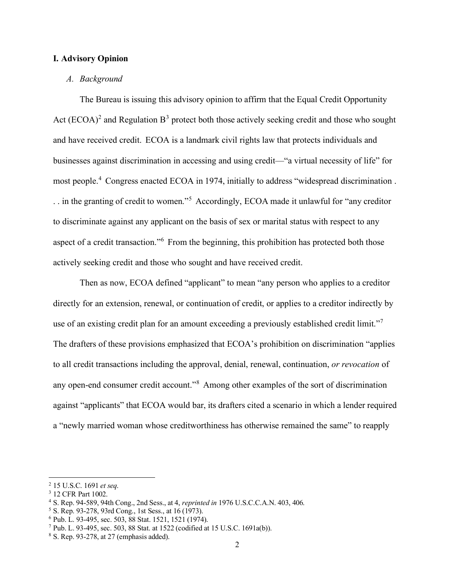### **I. Advisory Opinion**

#### *A. Background*

The Bureau is issuing this advisory opinion to affirm that the Equal Credit Opportunity Act (ECOA)<sup>[2](#page-1-0)</sup> and Regulation  $B^3$  $B^3$  protect both those actively seeking credit and those who sought and have received credit. ECOA is a landmark civil rights law that protects individuals and businesses against discrimination in accessing and using credit—"a virtual necessity of life" for most people.<sup>[4](#page-1-2)</sup> Congress enacted ECOA in 1974, initially to address "widespread discrimination. . . in the granting of credit to women."[5](#page-1-3) Accordingly, ECOA made it unlawful for "any creditor to discriminate against any applicant on the basis of sex or marital status with respect to any aspect of a credit transaction."[6](#page-1-4) From the beginning, this prohibition has protected both those actively seeking credit and those who sought and have received credit.

Then as now, ECOA defined "applicant" to mean "any person who applies to a creditor directly for an extension, renewal, or continuation of credit, or applies to a creditor indirectly by use of an existing credit plan for an amount exceeding a previously established credit limit."<sup>[7](#page-1-5)</sup> The drafters of these provisions emphasized that ECOA's prohibition on discrimination "applies to all credit transactions including the approval, denial, renewal, continuation, *or revocation* of any open-end consumer credit account."[8](#page-1-6) Among other examples of the sort of discrimination against "applicants" that ECOA would bar, its drafters cited a scenario in which a lender required a "newly married woman whose creditworthiness has otherwise remained the same" to reapply

<span id="page-1-0"></span><sup>2</sup> 15 U.S.C. 1691 *et seq*.

<span id="page-1-1"></span><sup>3</sup> 12 CFR Part 1002.

<span id="page-1-2"></span><sup>4</sup> S. Rep. 94-589, 94th Cong., 2nd Sess., at 4, *reprinted in* 1976 U.S.C.C.A.N. 403, 406.

<span id="page-1-3"></span><sup>5</sup> S. Rep. 93-278, 93rd Cong., 1st Sess., at 16 (1973).

<span id="page-1-4"></span><sup>6</sup> Pub. L. 93-495, sec. 503, 88 Stat. 1521, 1521 (1974).

<span id="page-1-5"></span><sup>7</sup> Pub. L. 93-495, sec. 503, 88 Stat. at 1522 (codified at 15 U.S.C. 1691a(b)).

<span id="page-1-6"></span><sup>8</sup> S. Rep. 93-278, at 27 (emphasis added).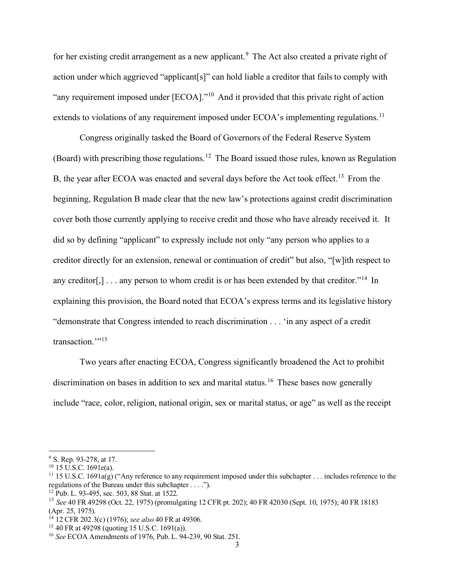for her existing credit arrangement as a new applicant.<sup>[9](#page-2-0)</sup> The Act also created a private right of action under which aggrieved "applicant[s]" can hold liable a creditor that fails to comply with "any requirement imposed under [ECOA]."<sup>[10](#page-2-1)</sup> And it provided that this private right of action extends to violations of any requirement imposed under ECOA's implementing regulations.<sup>[11](#page-2-2)</sup>

Congress originally tasked the Board of Governors of the Federal Reserve System (Board) with prescribing those regulations.[12](#page-2-3) The Board issued those rules, known as Regulation B, the year after ECOA was enacted and several days before the Act took effect.<sup>[13](#page-2-4)</sup> From the beginning, Regulation B made clear that the new law's protections against credit discrimination cover both those currently applying to receive credit and those who have already received it. It did so by defining "applicant" to expressly include not only "any person who applies to a creditor directly for an extension, renewal or continuation of credit" but also, "[w]ith respect to any creditor[,]  $\ldots$  any person to whom credit is or has been extended by that creditor."<sup>[14](#page-2-5)</sup> In explaining this provision, the Board noted that ECOA's express terms and its legislative history "demonstrate that Congress intended to reach discrimination . . . 'in any aspect of a credit transaction."<sup>[15](#page-2-6)</sup>

Two years after enacting ECOA, Congress significantly broadened the Act to prohibit discrimination on bases in addition to sex and marital status.<sup>[16](#page-2-7)</sup> These bases now generally include "race, color, religion, national origin, sex or marital status, or age" as well as the receipt

<span id="page-2-0"></span><sup>&</sup>lt;sup>9</sup> S. Rep. 93-278, at 17.

<span id="page-2-1"></span><sup>10</sup> 15 U.S.C. 1691e(a).

<span id="page-2-2"></span><sup>&</sup>lt;sup>11</sup> 15 U.S.C. 1691a(g) ("Any reference to any requirement imposed under this subchapter . . . includes reference to the regulations of the Bureau under this subchapter . . . .").

<span id="page-2-3"></span><sup>12</sup> Pub. L. 93-495, sec. 503, 88 Stat. at 1522.

<span id="page-2-4"></span><sup>13</sup> *See* 40 FR 49298 (Oct. 22, 1975) (promulgating 12 CFR pt. 202); 40 FR 42030 (Sept. 10, 1975); 40 FR 18183 (Apr. 25, 1975).

<span id="page-2-5"></span><sup>14</sup> 12 CFR 202.3(c) (1976); *see also* 40 FR at 49306.

<span id="page-2-6"></span><sup>15</sup> 40 FR at 49298 (quoting 15 U.S.C. 1691(a)).

<span id="page-2-7"></span><sup>16</sup> *See* ECOA Amendments of 1976, Pub. L. 94-239, 90 Stat. 251.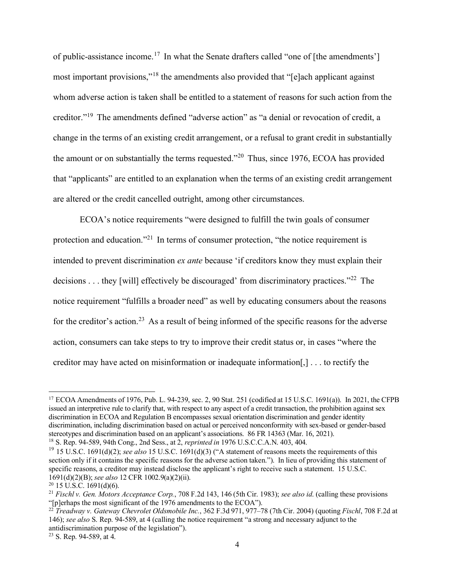of public-assistance income.[17](#page-3-0) In what the Senate drafters called "one of [the amendments'] most important provisions,"[18](#page-3-1) the amendments also provided that "[e]ach applicant against whom adverse action is taken shall be entitled to a statement of reasons for such action from the creditor."[19](#page-3-2) The amendments defined "adverse action" as "a denial or revocation of credit, a change in the terms of an existing credit arrangement, or a refusal to grant credit in substantially the amount or on substantially the terms requested. $20$  Thus, since 1976, ECOA has provided that "applicants" are entitled to an explanation when the terms of an existing credit arrangement are altered or the credit cancelled outright, among other circumstances.

ECOA's notice requirements "were designed to fulfill the twin goals of consumer protection and education."<sup>[21](#page-3-4)</sup> In terms of consumer protection, "the notice requirement is intended to prevent discrimination *ex ante* because 'if creditors know they must explain their decisions . . . they [will] effectively be discouraged' from discriminatory practices."<sup>[22](#page-3-5)</sup> The notice requirement "fulfills a broader need" as well by educating consumers about the reasons for the creditor's action.<sup>[23](#page-3-6)</sup> As a result of being informed of the specific reasons for the adverse action, consumers can take steps to try to improve their credit status or, in cases "where the creditor may have acted on misinformation or inadequate information[,] . . . to rectify the

<span id="page-3-0"></span><sup>17</sup> ECOA Amendments of 1976, Pub. L. 94-239, sec. 2, 90 Stat. 251 (codified at 15 U.S.C. 1691(a)). In 2021, the CFPB issued an interpretive rule to clarify that, with respect to any aspect of a credit transaction, the prohibition against sex discrimination in ECOA and Regulation B encompasses sexual orientation discrimination and gender identity discrimination, including discrimination based on actual or perceived nonconformity with sex-based or gender-based stereotypes and discrimination based on an applicant's associations. 86 FR 14363 (Mar. 16, 2021).

<span id="page-3-1"></span><sup>18</sup> S. Rep. 94-589, 94th Cong., 2nd Sess., at 2, *reprinted in* 1976 U.S.C.C.A.N. 403, 404.

<span id="page-3-2"></span><sup>&</sup>lt;sup>19</sup> 15 U.S.C. 1691(d)(2); *see also* 15 U.S.C. 1691(d)(3) ("A statement of reasons meets the requirements of this section only if it contains the specific reasons for the adverse action taken."). In lieu of providing this statement of specific reasons, a creditor may instead disclose the applicant's right to receive such a statement. 15 U.S.C. 1691(d)(2)(B); *see also* 12 CFR 1002.9(a)(2)(ii).

<span id="page-3-3"></span> $20$  15 U.S.C. 1691(d)(6).

<span id="page-3-4"></span><sup>21</sup> *Fischl v. Gen. Motors Acceptance Corp.*, 708 F.2d 143, 146 (5th Cir. 1983); *see also id*. (calling these provisions "[p]erhaps the most significant of the 1976 amendments to the ECOA").

<span id="page-3-5"></span><sup>22</sup> *Treadway v. Gateway Chevrolet Oldsmobile Inc.*, 362 F.3d 971, 977–78 (7th Cir. 2004) (quoting *Fischl*, 708 F.2d at 146); *see also* S. Rep. 94-589, at 4 (calling the notice requirement "a strong and necessary adjunct to the antidiscrimination purpose of the legislation").

<span id="page-3-6"></span><sup>23</sup> S. Rep. 94-589, at 4.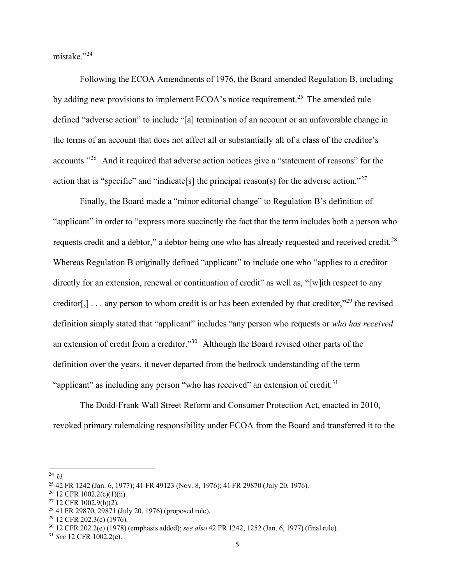mistake."[24](#page-4-0)

Following the ECOA Amendments of 1976, the Board amended Regulation B, including by adding new provisions to implement ECOA's notice requirement.<sup>[25](#page-4-1)</sup> The amended rule defined "adverse action" to include "[a] termination of an account or an unfavorable change in the terms of an account that does not affect all or substantially all of a class of the creditor's accounts."[26](#page-4-2) And it required that adverse action notices give a "statement of reasons" for the action that is "specific" and "indicate<sup>[s]</sup> the principal reason(s) for the adverse action."<sup>[27](#page-4-3)</sup>

Finally, the Board made a "minor editorial change" to Regulation B's definition of "applicant" in order to "express more succinctly the fact that the term includes both a person who requests credit and a debtor," a debtor being one who has already requested and received credit.[28](#page-4-4) Whereas Regulation B originally defined "applicant" to include one who "applies to a creditor directly for an extension, renewal or continuation of credit" as well as, "[w]ith respect to any creditor[,] . . . any person to whom credit is or has been extended by that creditor,"<sup>[29](#page-4-5)</sup> the revised definition simply stated that "applicant" includes "any person who requests or *who has received*  an extension of credit from a creditor."[30](#page-4-6) Although the Board revised other parts of the definition over the years, it never departed from the bedrock understanding of the term "applicant" as including any person "who has received" an extension of credit. $31$ 

The Dodd-Frank Wall Street Reform and Consumer Protection Act, enacted in 2010, revoked primary rulemaking responsibility under ECOA from the Board and transferred it to the

<span id="page-4-0"></span><sup>24</sup> *Id*.

<span id="page-4-1"></span><sup>25</sup> 42 FR 1242 (Jan. 6, 1977); 41 FR 49123 (Nov. 8, 1976); 41 FR 29870 (July 20, 1976).

<span id="page-4-2"></span> $26$  12 CFR 1002.2(c)(1)(ii).

<span id="page-4-3"></span><sup>27</sup> 12 CFR 1002.9(b)(2).

<span id="page-4-4"></span><sup>28</sup> 41 FR 29870, 29871 (July 20, 1976) (proposed rule).

<span id="page-4-5"></span><sup>29</sup> 12 CFR 202.3(c) (1976).

<span id="page-4-6"></span><sup>30</sup> 12 CFR 202.2(e) (1978) (emphasis added); *see also* 42 FR 1242, 1252 (Jan. 6, 1977) (final rule).

<span id="page-4-7"></span><sup>31</sup> *See* 12 CFR 1002.2(e).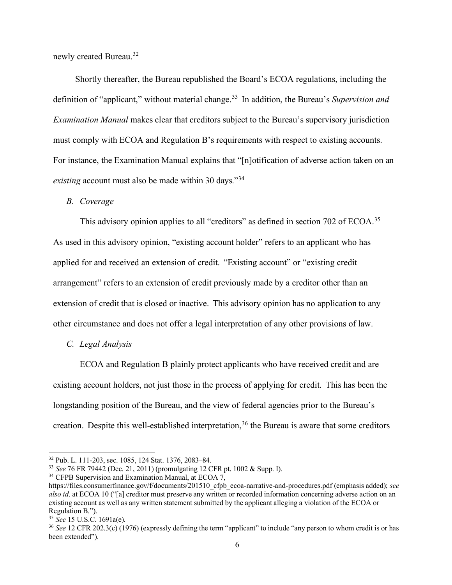newly created Bureau.<sup>[32](#page-5-0)</sup>

Shortly thereafter, the Bureau republished the Board's ECOA regulations, including the definition of "applicant," without material change.<sup>[33](#page-5-1)</sup> In addition, the Bureau's *Supervision and Examination Manual* makes clear that creditors subject to the Bureau's supervisory jurisdiction must comply with ECOA and Regulation B's requirements with respect to existing accounts. For instance, the Examination Manual explains that "[n]otification of adverse action taken on an *existing* account must also be made within 30 days."[34](#page-5-2)

#### *B. Coverage*

This advisory opinion applies to all "creditors" as defined in section 702 of ECOA.<sup>[35](#page-5-3)</sup> As used in this advisory opinion, "existing account holder" refers to an applicant who has applied for and received an extension of credit. "Existing account" or "existing credit arrangement" refers to an extension of credit previously made by a creditor other than an extension of credit that is closed or inactive. This advisory opinion has no application to any other circumstance and does not offer a legal interpretation of any other provisions of law.

#### *C. Legal Analysis*

ECOA and Regulation B plainly protect applicants who have received credit and are existing account holders, not just those in the process of applying for credit. This has been the longstanding position of the Bureau, and the view of federal agencies prior to the Bureau's creation. Despite this well-established interpretation,<sup>[36](#page-5-4)</sup> the Bureau is aware that some creditors

<span id="page-5-0"></span><sup>32</sup> Pub. L. 111-203, sec. 1085, 124 Stat. 1376, 2083–84.

<span id="page-5-1"></span><sup>33</sup> *See* 76 FR 79442 (Dec. 21, 2011) (promulgating 12 CFR pt. 1002 & Supp. I).

<span id="page-5-2"></span><sup>&</sup>lt;sup>34</sup> CFPB Supervision and Examination Manual, at ECOA 7,

https://files.consumerfinance.gov/f/documents/201510\_cfpb\_ecoa-narrative-and-procedures.pdf (emphasis added); *see also id*. at ECOA 10 ("[a] creditor must preserve any written or recorded information concerning adverse action on an existing account as well as any written statement submitted by the applicant alleging a violation of the ECOA or Regulation B.").

<span id="page-5-3"></span><sup>35</sup> *See* 15 U.S.C. 1691a(e).

<span id="page-5-4"></span><sup>&</sup>lt;sup>36</sup> See 12 CFR 202.3(c) (1976) (expressly defining the term "applicant" to include "any person to whom credit is or has been extended").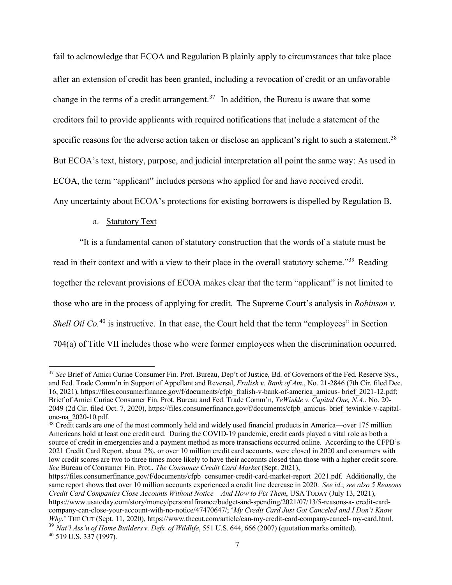fail to acknowledge that ECOA and Regulation B plainly apply to circumstances that take place after an extension of credit has been granted, including a revocation of credit or an unfavorable change in the terms of a credit arrangement.<sup>[37](#page-6-0)</sup> In addition, the Bureau is aware that some creditors fail to provide applicants with required notifications that include a statement of the specific reasons for the adverse action taken or disclose an applicant's right to such a statement.<sup>[38](#page-6-1)</sup> But ECOA's text, history, purpose, and judicial interpretation all point the same way: As used in ECOA, the term "applicant" includes persons who applied for and have received credit. Any uncertainty about ECOA's protections for existing borrowers is dispelled by Regulation B.

### a. Statutory Text

"It is a fundamental canon of statutory construction that the words of a statute must be read in their context and with a view to their place in the overall statutory scheme."<sup>[39](#page-6-2)</sup> Reading together the relevant provisions of ECOA makes clear that the term "applicant" is not limited to those who are in the process of applying for credit. The Supreme Court's analysis in *Robinson v. Shell O[i](#page-7-0)l Co.*<sup>[40](#page-7-0)</sup> is instructive. In that case, the Court held that the term "employees" in Section 704(a) of Title VII includes those who were former employees when the discrimination occurred.

<span id="page-6-0"></span><sup>37</sup> *See* Brief of Amici Curiae Consumer Fin. Prot. Bureau, Dep't of Justice, Bd. of Governors of the Fed. Reserve Sys., and Fed. Trade Comm'n in Support of Appellant and Reversal, *Fralish v. Bank of Am.*, No. 21-2846 (7th Cir. filed Dec. 16, 2021), https://files.consumerfinance.gov/f/documents/cfpb\_fralish-v-bank-of-america\_amicus- brief\_2021-12.pdf; Brief of Amici Curiae Consumer Fin. Prot. Bureau and Fed. Trade Comm'n, *TeWinkle v. Capital One, N.A.*, No. 20- 2049 (2d Cir. filed Oct. 7, 2020), https://files.consumerfinance.gov/f/documents/cfpb\_amicus- brief\_tewinkle-v-capitalone-na\_2020-10.pdf.

<span id="page-6-1"></span><sup>&</sup>lt;sup>38</sup> Credit cards are one of the most commonly held and widely used financial products in America—over 175 million Americans hold at least one credit card. During the COVID-19 pandemic, credit cards played a vital role as both a source of credit in emergencies and a payment method as more transactions occurred online. According to the CFPB's 2021 Credit Card Report, about 2%, or over 10 million credit card accounts, were closed in 2020 and consumers with low credit scores are two to three times more likely to have their accounts closed than those with a higher credit score. *See* Bureau of Consumer Fin. Prot., *The Consumer Credit Card Market* (Sept. 2021),

https://files.consumerfinance.gov/f/documents/cfpb\_consumer-credit-card-market-report\_2021.pdf. Additionally, the same report shows that over 10 million accounts experienced a credit line decrease in 2020. *See id*.; *see also 5 Reasons Credit Card Companies Close Accounts Without Notice – And How to Fix Them*, USA TODAY (July 13, 2021), https:/[/www.usatoday.com/story/money/personalfinance/budget-and-spending/2021/07/13/5-reasons-a-](http://www.usatoday.com/story/money/personalfinance/budget-and-spending/2021/07/13/5-reasons-a-) credit-cardcompany-can-close-your-account-with-no-notice/47470647/; '*My Credit Card Just Got Canceled and I Don't Know Why*,' THE CUT (Sept. 11, 2020), https[://www.thecut.com/article/can-my-credit-card-company-cancel-](http://www.thecut.com/article/can-my-credit-card-company-cancel-) my-card.html. <sup>39</sup> *Nat'l Ass'n of Home Builders v. Defs. of Wildlife*, 551 U.S. 644, 666 (2007) (quotation marks omitted).

<span id="page-6-3"></span><span id="page-6-2"></span><sup>40 519</sup> U.S. 337 (1997).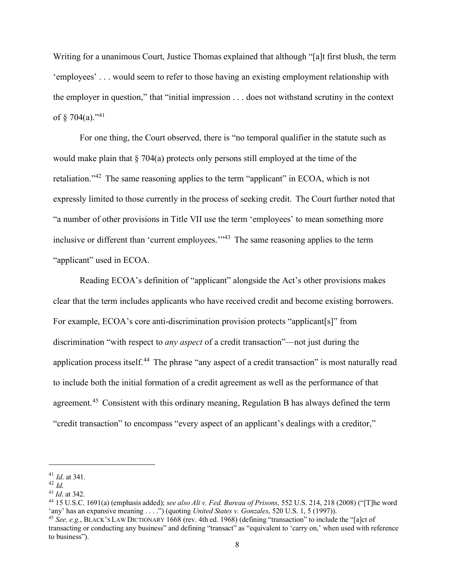<span id="page-7-0"></span>Writing for a unanimous Court, Justice Thomas explained that although "[a]t first blush, the term 'employees' . . . would seem to refer to those having an existing employment relationship with the employer in question," that "initial impression . . . does not withstand scrutiny in the context of  $§$  704(a)."<sup>[41](#page-7-1)</sup>

For one thing, the Court observed, there is "no temporal qualifier in the statute such as would make plain that  $\S$  704(a) protects only persons still employed at the time of the retaliation."<sup>[42](#page-7-2)</sup> The same reasoning applies to the term "applicant" in ECOA, which is not expressly limited to those currently in the process of seeking credit. The Court further noted that "a number of other provisions in Title VII use the term 'employees' to mean something more inclusive or different than 'current employees.'<sup>3[43](#page-7-3)</sup> The same reasoning applies to the term "applicant" used in ECOA.

Reading ECOA's definition of "applicant" alongside the Act's other provisions makes clear that the term includes applicants who have received credit and become existing borrowers. For example, ECOA's core anti-discrimination provision protects "applicant[s]" from discrimination "with respect to *any aspect* of a credit transaction"—not just during the application process itself.<sup>[44](#page-7-4)</sup> The phrase "any aspect of a credit transaction" is most naturally read to include both the initial formation of a credit agreement as well as the performance of that agreement.<sup>[45](#page-7-5)</sup> Consistent with this ordinary meaning, Regulation B has always defined the term "credit transaction" to encompass "every aspect of an applicant's dealings with a creditor,"

<span id="page-7-1"></span><sup>41</sup> *Id*. at 341.

<sup>42</sup> *Id*.

<span id="page-7-3"></span><span id="page-7-2"></span><sup>43</sup> *Id*. at 342.

<span id="page-7-4"></span><sup>44</sup> 15 U.S.C. 1691(a) (emphasis added); *see also Ali v. Fed. Bureau of Prisons*, 552 U.S. 214, 218 (2008) ("[T]he word 'any' has an expansive meaning . . . .") (quoting *United States v. Gonzales*, 520 U.S. 1, 5 (1997)).

<span id="page-7-5"></span><sup>45</sup> *See, e.g.*, BLACK'S LAW DICTIONARY 1668 (rev. 4th ed. 1968) (defining "transaction" to include the "[a]ct of transacting or conducting any business" and defining "transact" as "equivalent to 'carry on,' when used with reference to business").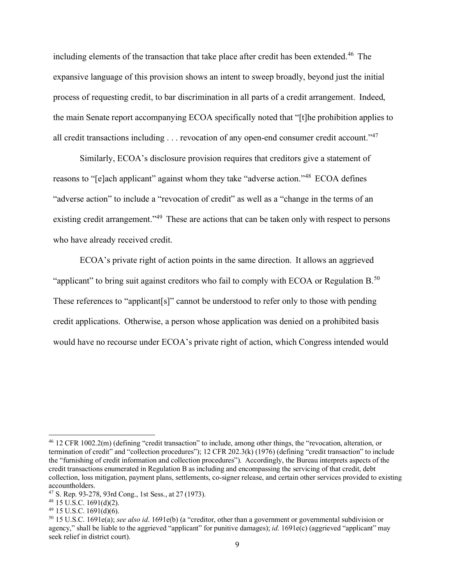including elements of the transaction that take place after credit has been extended.<sup>[46](#page-8-0)</sup> The expansive language of this provision shows an intent to sweep broadly, beyond just the initial process of requesting credit, to bar discrimination in all parts of a credit arrangement. Indeed, the main Senate report accompanying ECOA specifically noted that "[t]he prohibition applies to all credit transactions including  $\dots$  revocation of any open-end consumer credit account."<sup>[47](#page-8-1)</sup>

Similarly, ECOA's disclosure provision requires that creditors give a statement of reasons to "[e]ach applicant" against whom they take "adverse action."[48](#page-8-2) ECOA defines "adverse action" to include a "revocation of credit" as well as a "change in the terms of an existing credit arrangement."<sup>[49](#page-8-3)</sup> These are actions that can be taken only with respect to persons who have already received credit.

ECOA's private right of action points in the same direction. It allows an aggrieved "applicant" to bring suit against creditors who fail to comply with ECOA or Regulation  $B<sup>50</sup>$  $B<sup>50</sup>$  $B<sup>50</sup>$ These references to "applicant[s]" cannot be understood to refer only to those with pending credit applications. Otherwise, a person whose application was denied on a prohibited basis would have no recourse under ECOA's private right of action, which Congress intended would

<span id="page-8-0"></span><sup>46</sup> 12 CFR 1002.2(m) (defining "credit transaction" to include, among other things, the "revocation, alteration, or termination of credit" and "collection procedures"); 12 CFR 202.3(k) (1976) (defining "credit transaction" to include the "furnishing of credit information and collection procedures"). Accordingly, the Bureau interprets aspects of the credit transactions enumerated in Regulation B as including and encompassing the servicing of that credit, debt collection, loss mitigation, payment plans, settlements, co-signer release, and certain other services provided to existing accountholders.

<span id="page-8-1"></span><sup>47</sup> S. Rep. 93-278, 93rd Cong., 1st Sess., at 27 (1973).

<span id="page-8-2"></span> $48$  15 U.S.C. 1691(d)(2).

<span id="page-8-3"></span> $49$  15 U.S.C. 1691(d)(6).

<span id="page-8-4"></span><sup>50</sup> 15 U.S.C. 1691e(a); *see also id*. 1691e(b) (a "creditor, other than a government or governmental subdivision or agency," shall be liable to the aggrieved "applicant" for punitive damages); *id.* 1691e(c) (aggrieved "applicant" may seek relief in district court).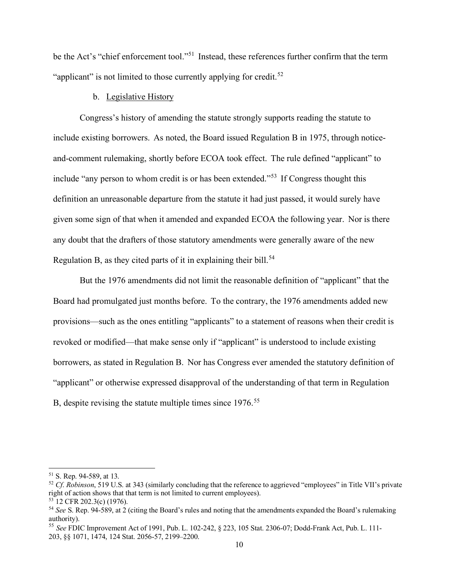be the Act's "chief enforcement tool."<sup>[51](#page-9-0)</sup> Instead, these references further confirm that the term "applicant" is not limited to those currently applying for credit.<sup>[52](#page-9-1)</sup>

### b. Legislative History

Congress's history of amending the statute strongly supports reading the statute to include existing borrowers. As noted, the Board issued Regulation B in 1975, through noticeand-comment rulemaking, shortly before ECOA took effect. The rule defined "applicant" to include "any person to whom credit is or has been extended."<sup>[53](#page-9-2)</sup> If Congress thought this definition an unreasonable departure from the statute it had just passed, it would surely have given some sign of that when it amended and expanded ECOA the following year. Nor is there any doubt that the drafters of those statutory amendments were generally aware of the new Regulation B, as they cited parts of it in explaining their bill.<sup>[54](#page-9-3)</sup>

But the 1976 amendments did not limit the reasonable definition of "applicant" that the Board had promulgated just months before. To the contrary, the 1976 amendments added new provisions—such as the ones entitling "applicants" to a statement of reasons when their credit is revoked or modified—that make sense only if "applicant" is understood to include existing borrowers, as stated in Regulation B. Nor has Congress ever amended the statutory definition of "applicant" or otherwise expressed disapproval of the understanding of that term in Regulation B, despite revising the statute multiple times since 1976.<sup>[55](#page-9-4)</sup>

<span id="page-9-0"></span><sup>51</sup> S. Rep. 94-589, at 13.

<span id="page-9-1"></span><sup>52</sup> *Cf*. *Robinson*, 519 U.S. at 343 (similarly concluding that the reference to aggrieved "employees" in Title VII's private right of action shows that that term is not limited to current employees). 53 12 CFR 202.3(c) (1976).

<span id="page-9-3"></span><span id="page-9-2"></span><sup>54</sup> *See* S. Rep. 94-589, at 2 (citing the Board's rules and noting that the amendments expanded the Board's rulemaking authority).

<span id="page-9-4"></span><sup>55</sup> *See* FDIC Improvement Act of 1991, Pub. L. 102-242, § 223, 105 Stat. 2306-07; Dodd-Frank Act, Pub. L. 111- 203, §§ 1071, 1474, 124 Stat. 2056-57, 2199–2200.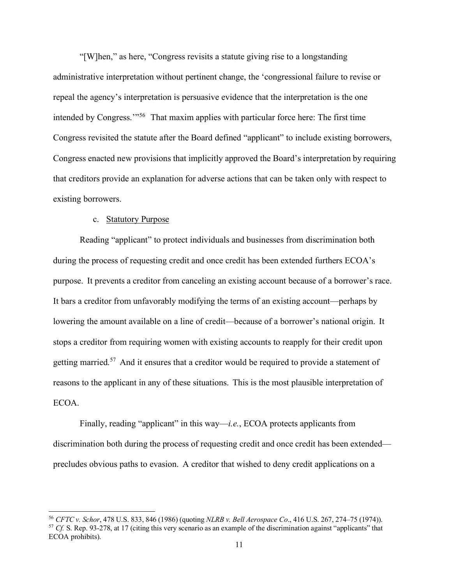"[W]hen," as here, "Congress revisits a statute giving rise to a longstanding administrative interpretation without pertinent change, the 'congressional failure to revise or repeal the agency's interpretation is persuasive evidence that the interpretation is the one intended by Congress."<sup>[56](#page-10-0)</sup> That maxim applies with particular force here: The first time Congress revisited the statute after the Board defined "applicant" to include existing borrowers, Congress enacted new provisions that implicitly approved the Board's interpretation by requiring that creditors provide an explanation for adverse actions that can be taken only with respect to existing borrowers.

### c. Statutory Purpose

Reading "applicant" to protect individuals and businesses from discrimination both during the process of requesting credit and once credit has been extended furthers ECOA's purpose. It prevents a creditor from canceling an existing account because of a borrower's race. It bars a creditor from unfavorably modifying the terms of an existing account—perhaps by lowering the amount available on a line of credit—because of a borrower's national origin. It stops a creditor from requiring women with existing accounts to reapply for their credit upon getting married.<sup>[57](#page-10-1)</sup> And it ensures that a creditor would be required to provide a statement of reasons to the applicant in any of these situations. This is the most plausible interpretation of ECOA.

Finally, reading "applicant" in this way—*i.e.*, ECOA protects applicants from discrimination both during the process of requesting credit and once credit has been extended precludes obvious paths to evasion. A creditor that wished to deny credit applications on a

<span id="page-10-1"></span><span id="page-10-0"></span><sup>56</sup> *CFTC v. Schor*, 478 U.S. 833, 846 (1986) (quoting *NLRB v. Bell Aerospace Co*., 416 U.S. 267, 274–75 (1974)). <sup>57</sup> *Cf.* S. Rep. 93-278, at 17 (citing this very scenario as an example of the discrimination against "applicants" that ECOA prohibits).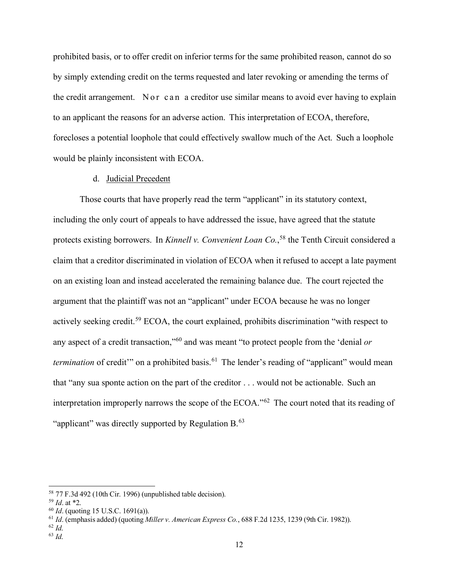prohibited basis, or to offer credit on inferior terms for the same prohibited reason, cannot do so by simply extending credit on the terms requested and later revoking or amending the terms of the credit arrangement. Nor can a creditor use similar means to avoid ever having to explain to an applicant the reasons for an adverse action. This interpretation of ECOA, therefore, forecloses a potential loophole that could effectively swallow much of the Act. Such a loophole would be plainly inconsistent with ECOA.

#### d. Judicial Precedent

Those courts that have properly read the term "applicant" in its statutory context, including the only court of appeals to have addressed the issue, have agreed that the statute protects existing borrowers. In *Kinnell v. Convenient Loan Co.*, [58](#page-11-0) the Tenth Circuit considered a claim that a creditor discriminated in violation of ECOA when it refused to accept a late payment on an existing loan and instead accelerated the remaining balance due. The court rejected the argument that the plaintiff was not an "applicant" under ECOA because he was no longer actively seeking credit.<sup>[59](#page-11-1)</sup> ECOA, the court explained, prohibits discrimination "with respect to any aspect of a credit transaction,"[60](#page-11-2) and was meant "to protect people from the 'denial *or termination* of credit" on a prohibited basis.<sup>[61](#page-11-3)</sup> The lender's reading of "applicant" would mean that "any sua sponte action on the part of the creditor . . . would not be actionable. Such an interpretation improperly narrows the scope of the ECOA."<sup>[62](#page-11-4)</sup> The court noted that its reading of "applicant" was directly supported by Regulation B.<sup>63</sup>

<span id="page-11-0"></span><sup>58 77</sup> F.3d 492 (10th Cir. 1996) (unpublished table decision).

<span id="page-11-1"></span><sup>59</sup> *Id*. at \*2.

<span id="page-11-2"></span><sup>60</sup> *Id*. (quoting 15 U.S.C. 1691(a)).

<span id="page-11-3"></span><sup>61</sup> *Id*. (emphasis added) (quoting *Miller v. American Express Co.*, 688 F.2d 1235, 1239 (9th Cir. 1982)).

<span id="page-11-4"></span>

<span id="page-11-5"></span><sup>62</sup> *Id*. 63 *Id*.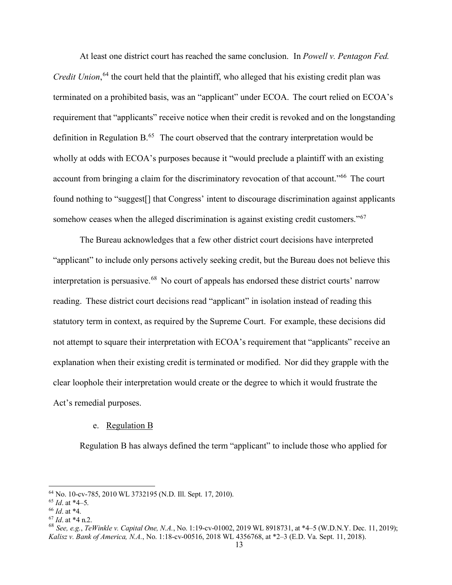At least one district court has reached the same conclusion. In *Powell v. Pentagon Fed. Credit Union*, [64](#page-12-0) the court held that the plaintiff, who alleged that his existing credit plan was terminated on a prohibited basis, was an "applicant" under ECOA. The court relied on ECOA's requirement that "applicants" receive notice when their credit is revoked and on the longstanding definition in Regulation  $B<sub>0</sub>$ <sup>[65](#page-12-1)</sup>. The court observed that the contrary interpretation would be wholly at odds with ECOA's purposes because it "would preclude a plaintiff with an existing account from bringing a claim for the discriminatory revocation of that account."<sup>[66](#page-12-2)</sup> The court found nothing to "suggest<sup>[]</sup> that Congress' intent to discourage discrimination against applicants somehow ceases when the alleged discrimination is against existing credit customers."<sup>[67](#page-12-3)</sup>

The Bureau acknowledges that a few other district court decisions have interpreted "applicant" to include only persons actively seeking credit, but the Bureau does not believe this interpretation is persuasive.<sup>[68](#page-12-4)</sup> No court of appeals has endorsed these district courts' narrow reading. These district court decisions read "applicant" in isolation instead of reading this statutory term in context, as required by the Supreme Court. For example, these decisions did not attempt to square their interpretation with ECOA's requirement that "applicants" receive an explanation when their existing credit is terminated or modified. Nor did they grapple with the clear loophole their interpretation would create or the degree to which it would frustrate the Act's remedial purposes.

#### e. Regulation B

Regulation B has always defined the term "applicant" to include those who applied for

<span id="page-12-0"></span><sup>64</sup> No. 10-cv-785, 2010 WL 3732195 (N.D. Ill. Sept. 17, 2010).

<span id="page-12-1"></span><sup>65</sup> *Id*. at \*4–5.

<span id="page-12-2"></span><sup>66</sup> *Id*. at \*4.

<span id="page-12-3"></span><sup>67</sup> *Id*. at \*4 n.2.

<span id="page-12-4"></span><sup>68</sup> *See, e.g.*, *TeWinkle v. Capital One, N.A.*, No. 1:19-cv-01002, 2019 WL 8918731, at \*4–5 (W.D.N.Y. Dec. 11, 2019); *Kalisz v. Bank of America, N.A.*, No. 1:18-cv-00516, 2018 WL 4356768, at \*2–3 (E.D. Va. Sept. 11, 2018).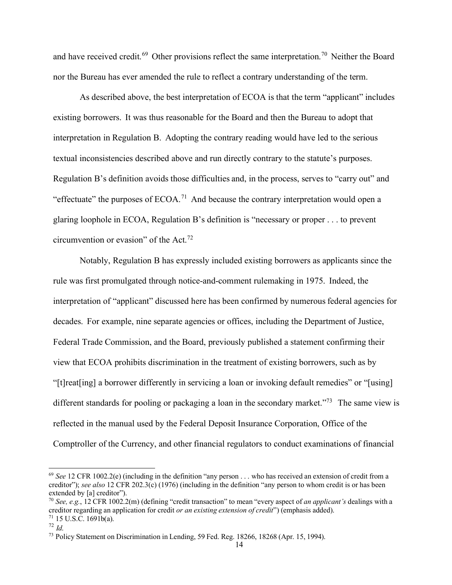and have received credit.<sup>[69](#page-13-0)</sup> Other provisions reflect the same interpretation.<sup>[70](#page-13-1)</sup> Neither the Board nor the Bureau has ever amended the rule to reflect a contrary understanding of the term.

As described above, the best interpretation of ECOA is that the term "applicant" includes existing borrowers. It was thus reasonable for the Board and then the Bureau to adopt that interpretation in Regulation B. Adopting the contrary reading would have led to the serious textual inconsistencies described above and run directly contrary to the statute's purposes. Regulation B's definition avoids those difficulties and, in the process, serves to "carry out" and "effectuate" the purposes of  $ECOA$ <sup>[71](#page-13-2)</sup> And because the contrary interpretation would open a glaring loophole in ECOA, Regulation B's definition is "necessary or proper . . . to prevent circumvention or evasion" of the Act.[72](#page-13-3)

Notably, Regulation B has expressly included existing borrowers as applicants since the rule was first promulgated through notice-and-comment rulemaking in 1975. Indeed, the interpretation of "applicant" discussed here has been confirmed by numerous federal agencies for decades. For example, nine separate agencies or offices, including the Department of Justice, Federal Trade Commission, and the Board, previously published a statement confirming their view that ECOA prohibits discrimination in the treatment of existing borrowers, such as by "[t]reat[ing] a borrower differently in servicing a loan or invoking default remedies" or "[using] different standards for pooling or packaging a loan in the secondary market."<sup>[73](#page-13-4)</sup> The same view is reflected in the manual used by the Federal Deposit Insurance Corporation, Office of the Comptroller of the Currency, and other financial regulators to conduct examinations of financial

<span id="page-13-0"></span><sup>69</sup> *See* 12 CFR 1002.2(e) (including in the definition "any person . . . who has received an extension of credit from a creditor"); *see also* 12 CFR 202.3(c) (1976) (including in the definition "any person to whom credit is or has been extended by [a] creditor").

<span id="page-13-1"></span><sup>70</sup> *See, e.g.*, 12 CFR 1002.2(m) (defining "credit transaction" to mean "every aspect of *an applicant's* dealings with a creditor regarding an application for credit *or an existing extension of credit*") (emphasis added).  $71$  15 U.S.C. 1691b(a).

<span id="page-13-3"></span><span id="page-13-2"></span><sup>72</sup> *Id*.

<span id="page-13-4"></span><sup>73</sup> Policy Statement on Discrimination in Lending, 59 Fed. Reg. 18266, 18268 (Apr. 15, 1994).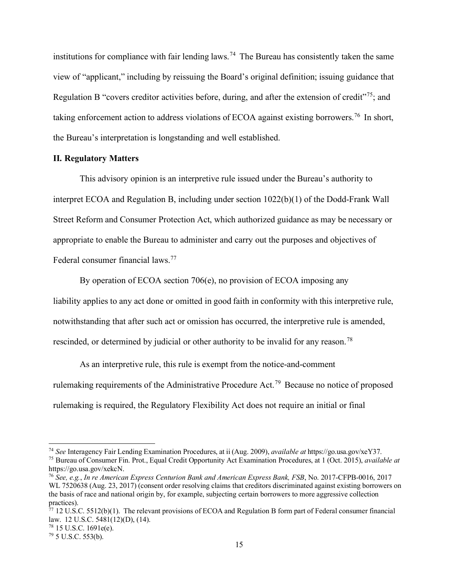institutions for compliance with fair lending laws.<sup>[74](#page-14-0)</sup> The Bureau has consistently taken the same view of "applicant," including by reissuing the Board's original definition; issuing guidance that Regulation B "covers creditor activities before, during, and after the extension of credit"<sup>[75](#page-14-1)</sup>; and taking enforcement action to address violations of ECOA against existing borrowers.[76](#page-14-2) In short, the Bureau's interpretation is longstanding and well established.

#### **II. Regulatory Matters**

This advisory opinion is an interpretive rule issued under the Bureau's authority to interpret ECOA and Regulation B, including under section 1022(b)(1) of the Dodd-Frank Wall Street Reform and Consumer Protection Act, which authorized guidance as may be necessary or appropriate to enable the Bureau to administer and carry out the purposes and objectives of Federal consumer financial laws.[77](#page-14-3)

By operation of ECOA section 706(e), no provision of ECOA imposing any

liability applies to any act done or omitted in good faith in conformity with this interpretive rule, notwithstanding that after such act or omission has occurred, the interpretive rule is amended,

rescinded, or determined by judicial or other authority to be invalid for any reason.<sup>[78](#page-14-4)</sup>

As an interpretive rule, this rule is exempt from the notice-and-comment rulemaking requirements of the Administrative Procedure Act.[79](#page-14-5) Because no notice of proposed rulemaking is required, the Regulatory Flexibility Act does not require an initial or final

<span id="page-14-0"></span><sup>74</sup> *See* Interagency Fair Lending Examination Procedures, at ii (Aug. 2009), *available at* https://go.usa.gov/xeY37.

<span id="page-14-1"></span><sup>75</sup> Bureau of Consumer Fin. Prot., Equal Credit Opportunity Act Examination Procedures, at 1 (Oct. 2015), *available at*  https://go.usa.gov/xekcN.

<span id="page-14-2"></span><sup>76</sup> *See, e.g.*, *In re American Express Centurion Bank and American Express Bank, FSB*, No. 2017-CFPB-0016, 2017 WL 7520638 (Aug. 23, 2017) (consent order resolving claims that creditors discriminated against existing borrowers on the basis of race and national origin by, for example, subjecting certain borrowers to more aggressive collection practices).

<span id="page-14-3"></span> $^{77}$  12 U.S.C. 5512(b)(1). The relevant provisions of ECOA and Regulation B form part of Federal consumer financial law. 12 U.S.C. 5481(12)(D), (14).

<span id="page-14-4"></span><sup>78</sup> 15 U.S.C. 1691e(e).

<span id="page-14-5"></span><sup>79</sup> 5 U.S.C. 553(b).